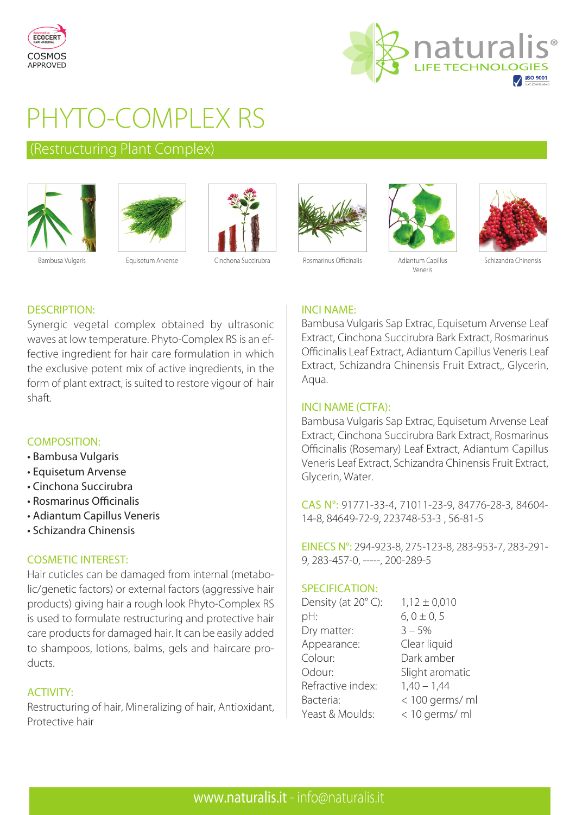



# PHYTO-COMPLEX RS

### (Restructuring Plant Complex)









Veneris



Schizandra Chinensis

### DESCRIPTION:

Synergic vegetal complex obtained by ultrasonic waves at low temperature. Phyto-Complex RS is an effective ingredient for hair care formulation in which the exclusive potent mix of active ingredients, in the form of plant extract, is suited to restore vigour of hair shaft.

### COMPOSITION:

- Bambusa Vulgaris
- Equisetum Arvense
- Cinchona Succirubra
- Rosmarinus Officinalis
- Adiantum Capillus Veneris
- Schizandra Chinensis

### COSMETIC INTEREST:

Hair cuticles can be damaged from internal (metabolic/genetic factors) or external factors (aggressive hair products) giving hair a rough look Phyto-Complex RS is used to formulate restructuring and protective hair care products for damaged hair. It can be easily added to shampoos, lotions, balms, gels and haircare products.

### ACTIVITY:

Restructuring of hair, Mineralizing of hair, Antioxidant, Protective hair

### INCI NAME:

Bambusa Vulgaris Sap Extrac, Equisetum Arvense Leaf Extract, Cinchona Succirubra Bark Extract, Rosmarinus Officinalis Leaf Extract, Adiantum Capillus Veneris Leaf Extract, Schizandra Chinensis Fruit Extract,, Glycerin, Aqua.

### INCI NAME (CTFA):

Bambusa Vulgaris Sap Extrac, Equisetum Arvense Leaf Extract, Cinchona Succirubra Bark Extract, Rosmarinus Officinalis (Rosemary) Leaf Extract, Adiantum Capillus Veneris Leaf Extract, Schizandra Chinensis Fruit Extract, Glycerin, Water.

CAS N°: 91771-33-4, 71011-23-9, 84776-28-3, 84604- 14-8, 84649-72-9, 223748-53-3 , 56-81-5

EINECS N°: 294-923-8, 275-123-8, 283-953-7, 283-291- 9, 283-457-0, -----, 200-289-5

### SPECIFICATION:

| $1,12 \pm 0,010$ |
|------------------|
| $6, 0 \pm 0, 5$  |
| $3 - 5%$         |
| Clear liquid     |
| Dark amber       |
| Slight aromatic  |
| $1,40 - 1,44$    |
| < 100 germs/ ml  |
| < 10 germs/ ml   |
|                  |